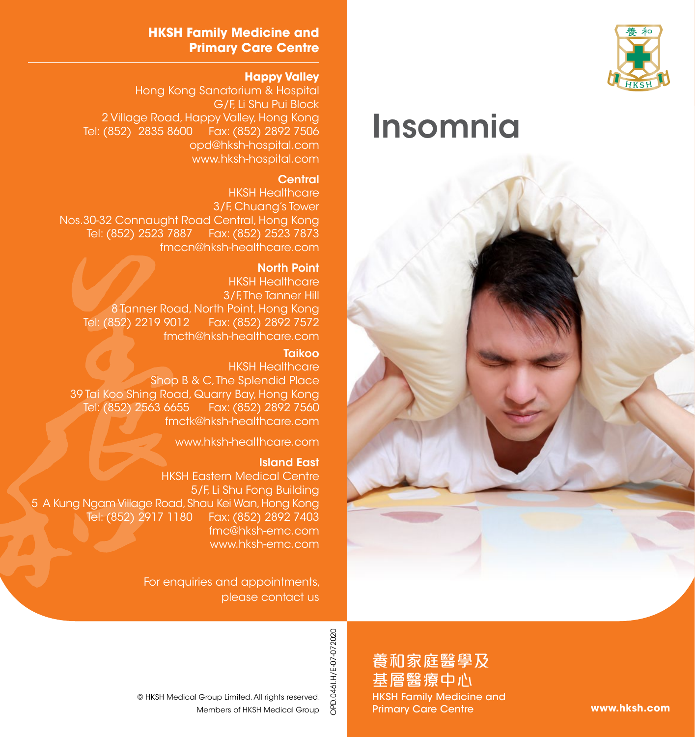

# Insomnia



#### **HKSH Family Medicine and Primary Care Centre**

#### **Happy Valley**

Hong Kong Sanatorium & Hospital G/F, Li Shu Pui Block 2 Village Road, Happy Valley, Hong Kong Tel: (852) 2835 8600 Fax: (852) 2892 7506 opd@hksh-hospital.com www.hksh-hospital.com

#### **Central**

HKSH Healthcare 3/F, Chuang's Tower Nos.30-32 Connaught Road Central, Hong Kong Tel: (852) 2523 7887 Fax: (852) 2523 7873 fmccn@hksh-healthcare.com

#### North Point

HKSH Healthcare 3/F. The Tanner Hill 8 Tanner Road, North Point, Hong Kong Tel: (852) 2219 9012 Fax: (852) 2892 7572 fmcth@hksh-healthcare.com

#### **Taikoo**

HKSH Healthcare Shop B & C. The Splendid Place 39 Tai Koo Shing Road, Quarry Bay, Hong Kong Fax: (852) 2892 7560 fmctk@hksh-healthcare.com

www.hksh-healthcare.com

#### Island East

HKSH Eastern Medical Centre 5/F, Li Shu Fong Building 5 A Kung Ngam Village Road, Shau Kei Wan, Hong Kong Tel: (852) 2917 1180 Fax: (852) 2892 7403 fmc@hksh-emc.com www.hksh-emc.com

> For enquiries and appointments, please contact us

> > OPD.046I.H/E-07-072020 OPD.046I.H/E-07-072020

養和家庭醫學及 基層醫療中心 HKSH Family Medicine and Primary Care Centre

**www.hksh.com**

Members of HKSH Medical Group © HKSH Medical Group Limited. All rights reserved.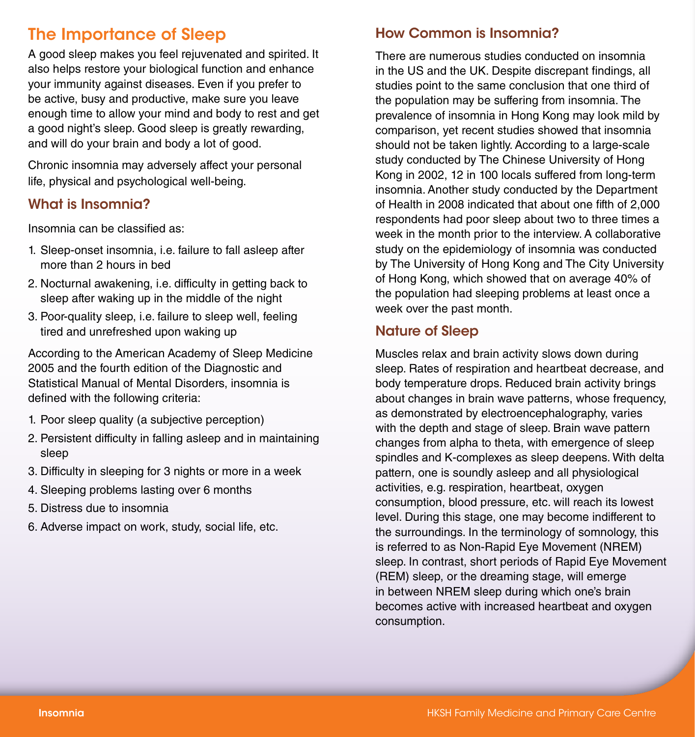## The Importance of Sleep

A good sleep makes you feel rejuvenated and spirited. It also helps restore your biological function and enhance your immunity against diseases. Even if you prefer to be active, busy and productive, make sure you leave enough time to allow your mind and body to rest and get a good night's sleep. Good sleep is greatly rewarding, and will do your brain and body a lot of good.

Chronic insomnia may adversely affect your personal life, physical and psychological well-being.

## What is Insomnia?

Insomnia can be classified as:

- 1. Sleep-onset insomnia, i.e. failure to fall asleep after more than 2 hours in bed
- 2. Nocturnal awakening, i.e. difficulty in getting back to sleep after waking up in the middle of the night
- 3. Poor-quality sleep, i.e. failure to sleep well, feeling tired and unrefreshed upon waking up

According to the American Academy of Sleep Medicine 2005 and the fourth edition of the Diagnostic and Statistical Manual of Mental Disorders, insomnia is defined with the following criteria:

- 1. Poor sleep quality (a subjective perception)
- 2. Persistent difficulty in falling asleep and in maintaining sleep
- 3. Difficulty in sleeping for 3 nights or more in a week
- 4. Sleeping problems lasting over 6 months
- 5. Distress due to insomnia
- 6. Adverse impact on work, study, social life, etc.

## How Common is Insomnia?

There are numerous studies conducted on insomnia in the US and the UK. Despite discrepant findings, all studies point to the same conclusion that one third of the population may be suffering from insomnia. The prevalence of insomnia in Hong Kong may look mild by comparison, yet recent studies showed that insomnia should not be taken lightly. According to a large-scale study conducted by The Chinese University of Hong Kong in 2002, 12 in 100 locals suffered from long-term insomnia. Another study conducted by the Department of Health in 2008 indicated that about one fifth of 2,000 respondents had poor sleep about two to three times a week in the month prior to the interview. A collaborative study on the epidemiology of insomnia was conducted by The University of Hong Kong and The City University of Hong Kong, which showed that on average 40% of the population had sleeping problems at least once a week over the past month.

#### Nature of Sleep

Muscles relax and brain activity slows down during sleep. Rates of respiration and heartbeat decrease, and body temperature drops. Reduced brain activity brings about changes in brain wave patterns, whose frequency, as demonstrated by electroencephalography, varies with the depth and stage of sleep. Brain wave pattern changes from alpha to theta, with emergence of sleep spindles and K-complexes as sleep deepens. With delta pattern, one is soundly asleep and all physiological activities, e.g. respiration, heartbeat, oxygen consumption, blood pressure, etc. will reach its lowest level. During this stage, one may become indifferent to the surroundings. In the terminology of somnology, this is referred to as Non-Rapid Eye Movement (NREM) sleep. In contrast, short periods of Rapid Eye Movement (REM) sleep, or the dreaming stage, will emerge in between NREM sleep during which one's brain becomes active with increased heartbeat and oxygen consumption.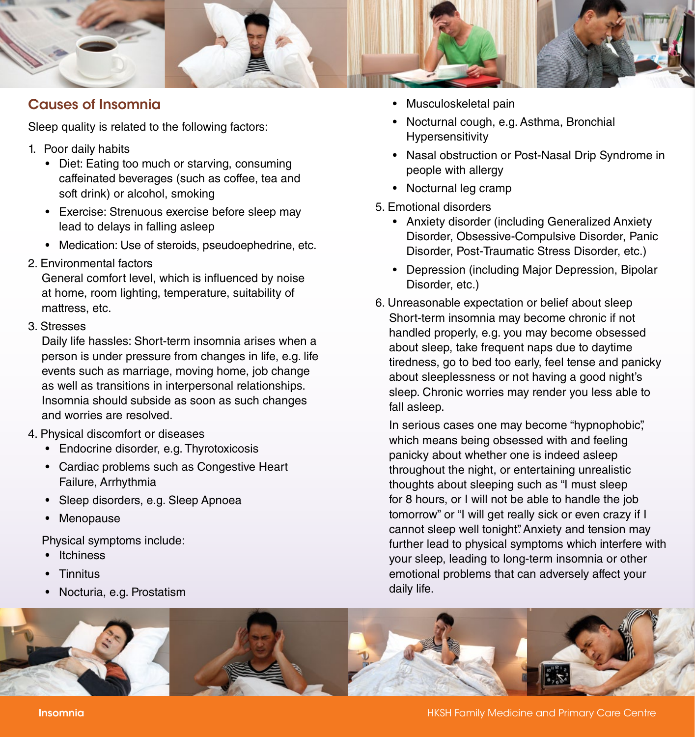

## Causes of Insomnia

Sleep quality is related to the following factors:

- 1. Poor daily habits
	- Diet: Eating too much or starving, consuming caffeinated beverages (such as coffee, tea and soft drink) or alcohol, smoking
	- Exercise: Strenuous exercise before sleep may lead to delays in falling asleep
	- Medication: Use of steroids, pseudoephedrine, etc.
- 2. Environmental factors

General comfort level, which is influenced by noise at home, room lighting, temperature, suitability of mattress, etc.

3. Stresses

Daily life hassles: Short-term insomnia arises when a person is under pressure from changes in life, e.g. life events such as marriage, moving home, job change as well as transitions in interpersonal relationships. Insomnia should subside as soon as such changes and worries are resolved.

- 4. Physical discomfort or diseases
	- Endocrine disorder, e.g. Thyrotoxicosis
	- Cardiac problems such as Congestive Heart Failure, Arrhythmia
	- Sleep disorders, e.g. Sleep Apnoea
	- **Menopause**

Physical symptoms include:

- Itchiness
- Tinnitus
- Nocturia, e.g. Prostatism
- Musculoskeletal pain
- Nocturnal cough, e.g. Asthma, Bronchial Hypersensitivity
- Nasal obstruction or Post-Nasal Drip Syndrome in people with allergy
- Nocturnal leg cramp
- 5. Emotional disorders
	- Anxiety disorder (including Generalized Anxiety Disorder, Obsessive-Compulsive Disorder, Panic Disorder, Post-Traumatic Stress Disorder, etc.)
	- Depression (including Major Depression, Bipolar Disorder, etc.)
- 6. Unreasonable expectation or belief about sleep Short-term insomnia may become chronic if not handled properly, e.g. you may become obsessed about sleep, take frequent naps due to daytime tiredness, go to bed too early, feel tense and panicky about sleeplessness or not having a good night's sleep. Chronic worries may render you less able to fall asleep.

In serious cases one may become "hypnophobic", which means being obsessed with and feeling panicky about whether one is indeed asleep throughout the night, or entertaining unrealistic thoughts about sleeping such as "I must sleep for 8 hours, or I will not be able to handle the job tomorrow" or "I will get really sick or even crazy if I cannot sleep well tonight". Anxiety and tension may further lead to physical symptoms which interfere with your sleep, leading to long-term insomnia or other emotional problems that can adversely affect your daily life.